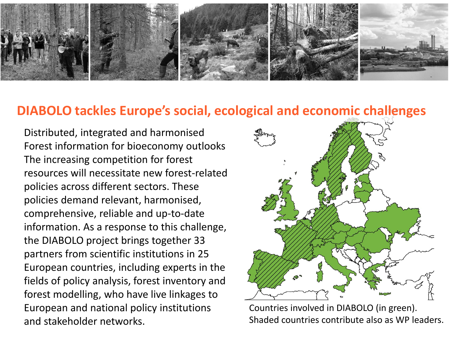

#### **DIABOLO tackles Europe's social, ecological and economic challenges**

Distributed, integrated and harmonised Forest information for bioeconomy outlooks The increasing competition for forest resources will necessitate new forest-related policies across different sectors. These policies demand relevant, harmonised, comprehensive, reliable and up-to-date information. As a response to this challenge, the DIABOLO project brings together 33 partners from scientific institutions in 25 European countries, including experts in the fields of policy analysis, forest inventory and forest modelling, who have live linkages to European and national policy institutions and stakeholder networks.



Countries involved in DIABOLO (in green). Shaded countries contribute also as WP leaders.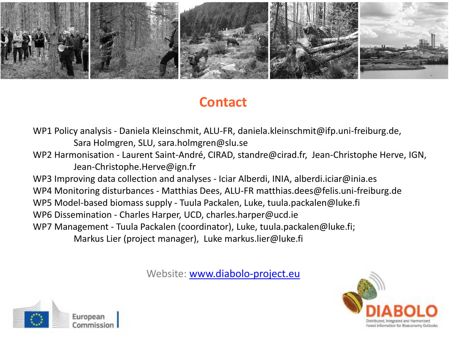

# **Contact**

WP1 Policy analysis - Daniela Kleinschmit, ALU-FR, daniela.kleinschmit@ifp.uni-freiburg.de, Sara Holmgren, SLU, sara.holmgren@slu.se WP2 Harmonisation - Laurent Saint-André, CIRAD, standre@cirad.fr, Jean-Christophe Herve, IGN, Jean-Christophe.Herve@ign.fr WP3 Improving data collection and analyses - Iciar Alberdi, INIA, alberdi.iciar@inia.es WP4 Monitoring disturbances - Matthias Dees, ALU-FR matthias.dees@felis.uni-freiburg.de WP5 Model-based biomass supply - Tuula Packalen, Luke, tuula.packalen@luke.fi WP6 Dissemination - Charles Harper, UCD, charles.harper@ucd.ie WP7 Management - Tuula Packalen (coordinator), Luke, tuula.packalen@luke.fi; Markus Lier (project manager), Luke markus.lier@luke.fi

Website: [www.diabolo-project.eu](http://www.diabolo-project.eu/)



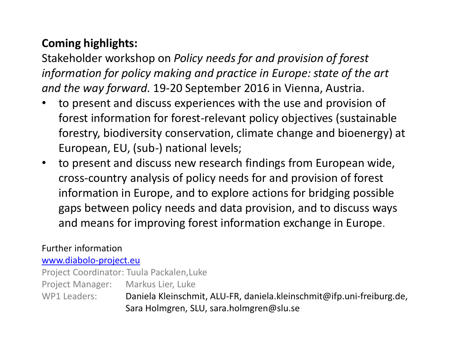### **Coming highlights:**

Stakeholder workshop on *Policy needs for and provision of forest information for policy making and practice in Europe: state of the art and the way forward.* 19-20 September 2016 in Vienna, Austria.

- to present and discuss experiences with the use and provision of forest information for forest-relevant policy objectives (sustainable forestry, biodiversity conservation, climate change and bioenergy) at European, EU, (sub-) national levels;
- to present and discuss new research findings from European wide, cross-country analysis of policy needs for and provision of forest information in Europe, and to explore actions for bridging possible gaps between policy needs and data provision, and to discuss ways and means for improving forest information exchange in Europe.

#### Further information

[www.diabolo-project.eu](http://www.diabolo-project.eu/)

Project Coordinator: Tuula Packalen,Luke

Project Manager: Markus Lier, Luke

WP1 Leaders: Daniela Kleinschmit, ALU-FR, daniela.kleinschmit@ifp.uni-freiburg.de, Sara Holmgren, SLU, sara.holmgren@slu.se